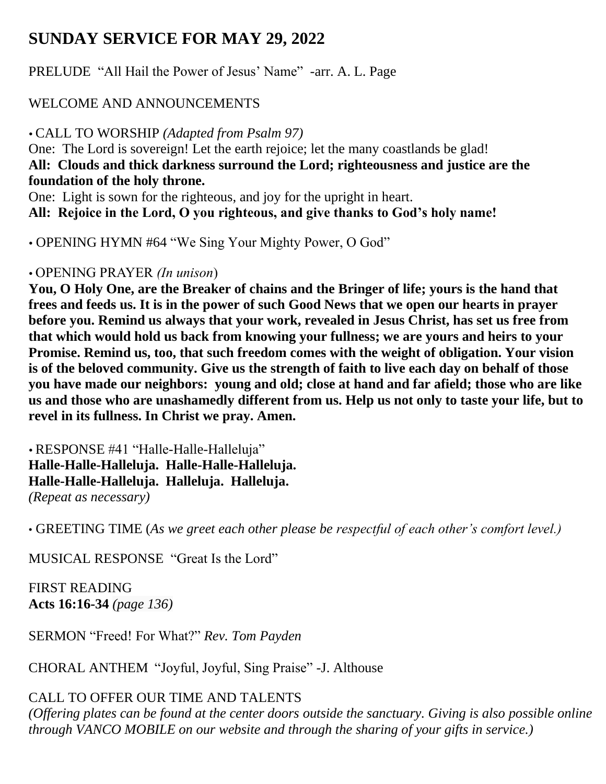## **SUNDAY SERVICE FOR MAY 29, 2022**

PRELUDE "All Hail the Power of Jesus' Name" -arr. A. L. Page

## WELCOME AND ANNOUNCEMENTS

CALL TO WORSHIP *(Adapted from Psalm 97)*

One: The Lord is sovereign! Let the earth rejoice; let the many coastlands be glad! **All: Clouds and thick darkness surround the Lord; righteousness and justice are the foundation of the holy throne.**

One: Light is sown for the righteous, and joy for the upright in heart.

**All: Rejoice in the Lord, O you righteous, and give thanks to God's holy name!**

OPENING HYMN #64 "We Sing Your Mighty Power, O God"

## OPENING PRAYER *(In unison*)

**You, O Holy One, are the Breaker of chains and the Bringer of life; yours is the hand that frees and feeds us. It is in the power of such Good News that we open our hearts in prayer before you. Remind us always that your work, revealed in Jesus Christ, has set us free from that which would hold us back from knowing your fullness; we are yours and heirs to your Promise. Remind us, too, that such freedom comes with the weight of obligation. Your vision is of the beloved community. Give us the strength of faith to live each day on behalf of those you have made our neighbors: young and old; close at hand and far afield; those who are like us and those who are unashamedly different from us. Help us not only to taste your life, but to revel in its fullness. In Christ we pray. Amen.**

 RESPONSE #41 "Halle-Halle-Halleluja" **Halle-Halle-Halleluja. Halle-Halle-Halleluja. Halle-Halle-Halleluja. Halleluja. Halleluja.**  *(Repeat as necessary)*

• GREETING TIME (*As we greet each other please be respectful of each other's comfort level.)*

MUSICAL RESPONSE "Great Is the Lord"

FIRST READING **Acts 16:16-34** *(page 136)*

SERMON "Freed! For What?" *Rev. Tom Payden*

CHORAL ANTHEM "Joyful, Joyful, Sing Praise" -J. Althouse

# CALL TO OFFER OUR TIME AND TALENTS

*(Offering plates can be found at the center doors outside the sanctuary. Giving is also possible online through VANCO MOBILE on our website and through the sharing of your gifts in service.)*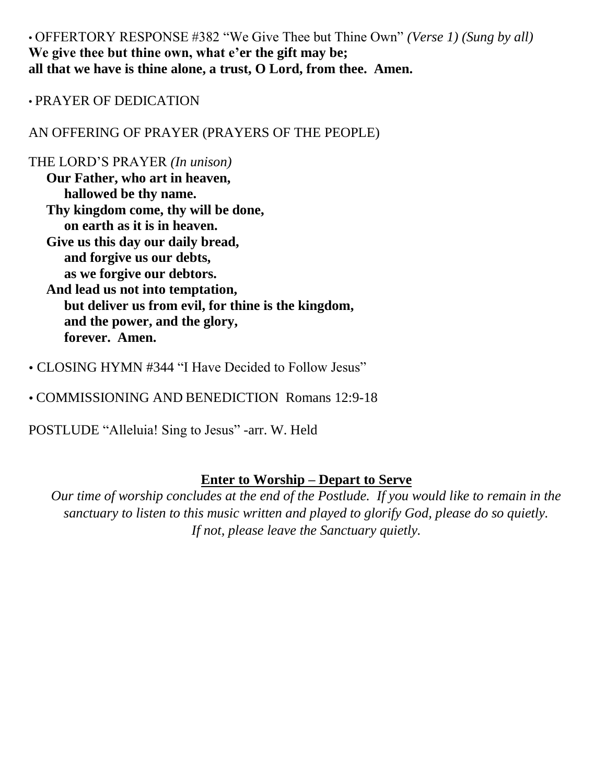• OFFERTORY RESPONSE #382 "We Give Thee but Thine Own" *(Verse 1) (Sung by all)* **We give thee but thine own, what e'er the gift may be; all that we have is thine alone, a trust, O Lord, from thee. Amen.**

#### • PRAYER OF DEDICATION

AN OFFERING OF PRAYER (PRAYERS OF THE PEOPLE)

#### THE LORD'S PRAYER *(In unison)*

**Our Father, who art in heaven, hallowed be thy name. Thy kingdom come, thy will be done, on earth as it is in heaven. Give us this day our daily bread, and forgive us our debts, as we forgive our debtors. And lead us not into temptation, but deliver us from evil, for thine is the kingdom, and the power, and the glory, forever. Amen.** 

- CLOSING HYMN #344 "I Have Decided to Follow Jesus"
- COMMISSIONING AND BENEDICTION Romans 12:9-18

POSTLUDE "Alleluia! Sing to Jesus" -arr. W. Held

#### **Enter to Worship – Depart to Serve**

*Our time of worship concludes at the end of the Postlude. If you would like to remain in the sanctuary to listen to this music written and played to glorify God, please do so quietly. If not, please leave the Sanctuary quietly.*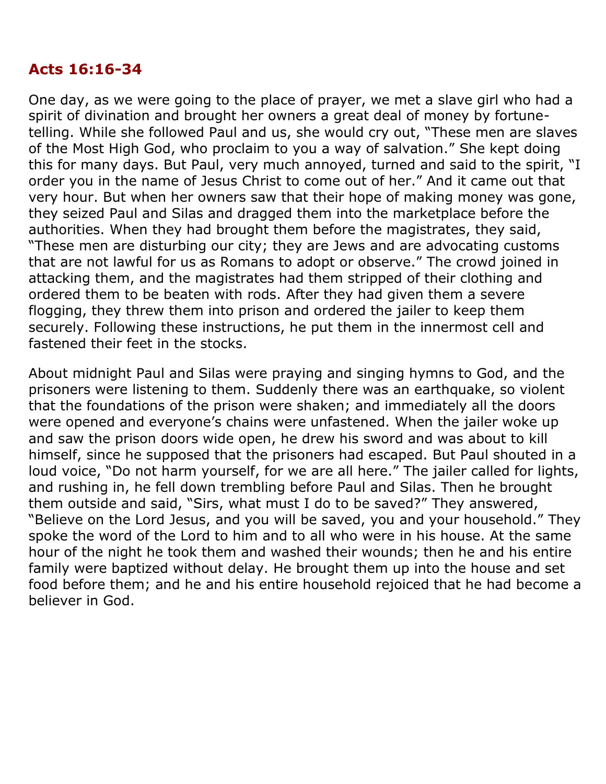## **Acts 16:16-34**

One day, as we were going to the place of prayer, we met a slave girl who had a spirit of divination and brought her owners a great deal of money by fortunetelling. While she followed Paul and us, she would cry out, "These men are slaves of the Most High God, who proclaim to you a way of salvation." She kept doing this for many days. But Paul, very much annoyed, turned and said to the spirit, "I order you in the name of Jesus Christ to come out of her." And it came out that very hour. But when her owners saw that their hope of making money was gone, they seized Paul and Silas and dragged them into the marketplace before the authorities. When they had brought them before the magistrates, they said, "These men are disturbing our city; they are Jews and are advocating customs that are not lawful for us as Romans to adopt or observe." The crowd joined in attacking them, and the magistrates had them stripped of their clothing and ordered them to be beaten with rods. After they had given them a severe flogging, they threw them into prison and ordered the jailer to keep them securely. Following these instructions, he put them in the innermost cell and fastened their feet in the stocks.

About midnight Paul and Silas were praying and singing hymns to God, and the prisoners were listening to them. Suddenly there was an earthquake, so violent that the foundations of the prison were shaken; and immediately all the doors were opened and everyone's chains were unfastened. When the jailer woke up and saw the prison doors wide open, he drew his sword and was about to kill himself, since he supposed that the prisoners had escaped. But Paul shouted in a loud voice, "Do not harm yourself, for we are all here." The jailer called for lights, and rushing in, he fell down trembling before Paul and Silas. Then he brought them outside and said, "Sirs, what must I do to be saved?" They answered, "Believe on the Lord Jesus, and you will be saved, you and your household." They spoke the word of the Lord to him and to all who were in his house. At the same hour of the night he took them and washed their wounds; then he and his entire family were baptized without delay. He brought them up into the house and set food before them; and he and his entire household rejoiced that he had become a believer in God.